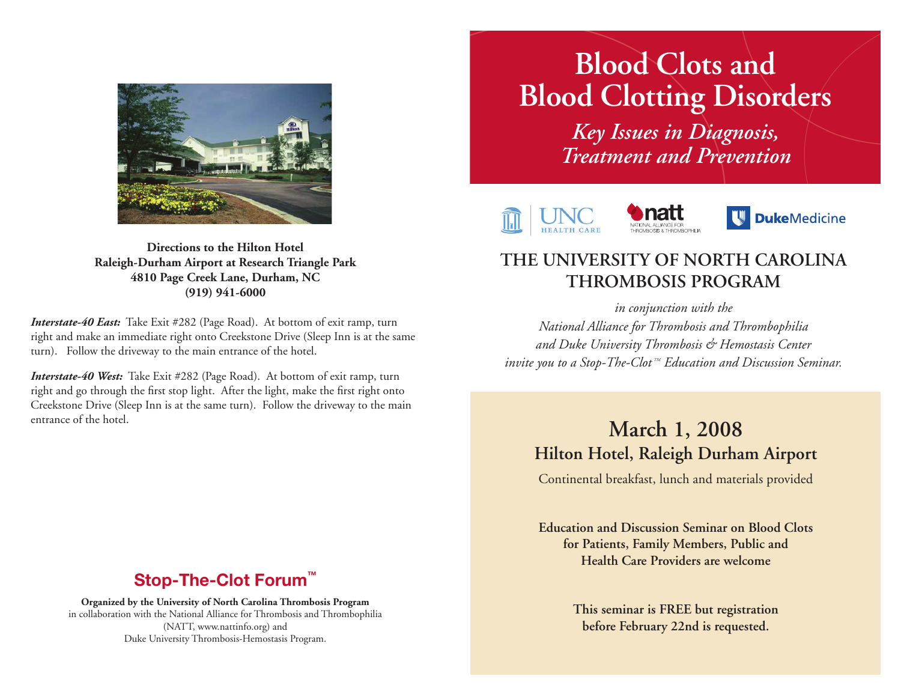

**Directions to the Hilton Hotel Raleigh-Durham Airport at Research Triangle Park 4810 Page Creek Lane, Durham, NC (919) 941-6000**

*Interstate-40 East:* Take Exit #282 (Page Road). At bottom of exit ramp, turn right and make an immediate right onto Creekstone Drive (Sleep Inn is at the same turn). Follow the driveway to the main entrance of the hotel.

*Interstate-40 West:* Take Exit #282 (Page Road). At bottom of exit ramp, turn right and go through the first stop light. After the light, make the first right onto Creekstone Drive (Sleep Inn is at the same turn). Follow the driveway to the main entrance of the hotel.

# **Blood Clots and Blood Clotting Disorders**

*Key Issues in Diagnosis, Treatment and Prevention*







### **THE UNIVERSITY OF NORTH CAROLINA THROMBOSIS PROGRAM**

*in conjunction with the National Alliance for Thrombosis and Thrombophilia and Duke University Thrombosis & Hemostasis Center invite you to a Stop-The-Clot™ Education and Discussion Seminar.* 

# **March 1, 2008 Hilton Hotel, Raleigh Durham Airport**

Continental breakfast, lunch and materials provided

**Education and Discussion Seminar on Blood Clots for Patients, Family Members, Public and Health Care Providers are welcome**

> **This seminar is FREE but registration before February 22nd is requested.**

## **Stop-The-Clot Forum™**

**Organized by the University of North Carolina Thrombosis Program** in collaboration with the National Alliance for Thrombosis and Thrombophilia (NATT, www.nattinfo.org) and Duke University Thrombosis-Hemostasis Program.